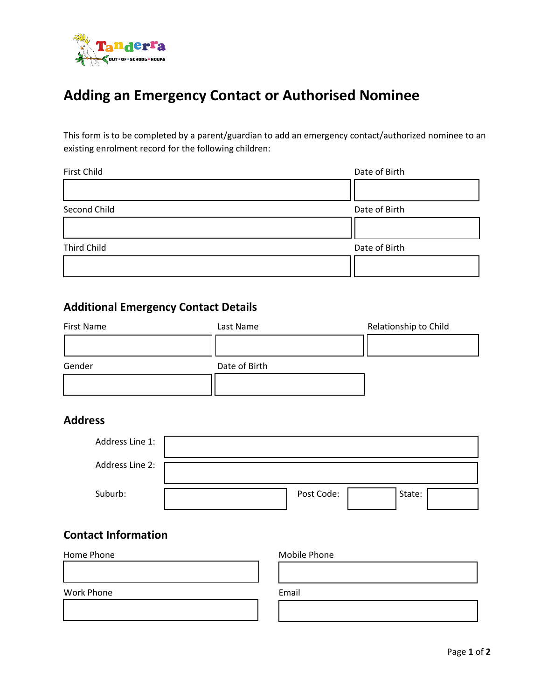

# **Adding an Emergency Contact or Authorised Nominee**

This form is to be completed by a parent/guardian to add an emergency contact/authorized nominee to an existing enrolment record for the following children:

| <b>First Child</b> | Date of Birth |  |  |
|--------------------|---------------|--|--|
|                    |               |  |  |
| Second Child       | Date of Birth |  |  |
|                    |               |  |  |
| <b>Third Child</b> | Date of Birth |  |  |
|                    |               |  |  |

## **Additional Emergency Contact Details**

| First Name | Last Name     | Relationship to Child |
|------------|---------------|-----------------------|
|            |               |                       |
| Gender     | Date of Birth |                       |
|            |               |                       |

## **Address**

| Address Line 1: |            |        |  |
|-----------------|------------|--------|--|
| Address Line 2: |            |        |  |
| Suburb:         | Post Code: | State: |  |

### **Contact Information**

| Home Phone | Mobile Phone |  |
|------------|--------------|--|
|            |              |  |
|            |              |  |
| Work Phone | Email        |  |
|            |              |  |
|            |              |  |